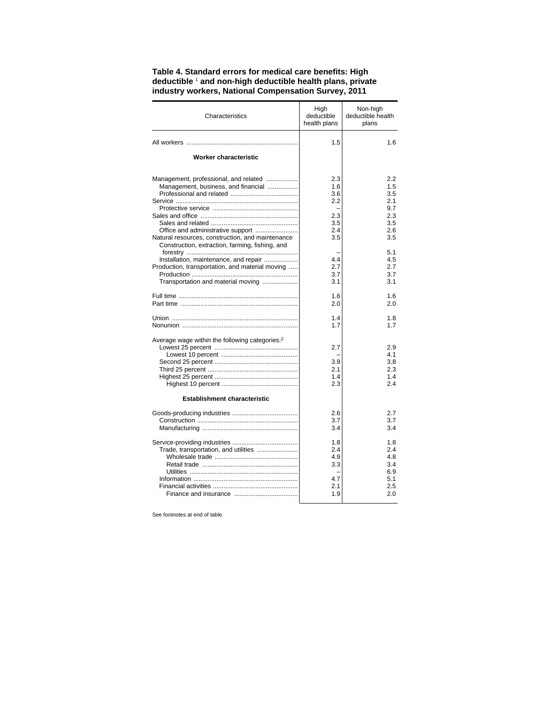| Characteristics                                                                                                                                                                   | High<br>deductible<br>health plans                   | Non-high<br>deductible health<br>plans                      |
|-----------------------------------------------------------------------------------------------------------------------------------------------------------------------------------|------------------------------------------------------|-------------------------------------------------------------|
|                                                                                                                                                                                   | 1.5                                                  | 1.6                                                         |
| <b>Worker characteristic</b>                                                                                                                                                      |                                                      |                                                             |
| Management, professional, and related<br>Management, business, and financial<br>Natural resources, construction, and maintenance                                                  | 2.3<br>1.6<br>3.6<br>2.2<br>2.3<br>3.5<br>2.4<br>3.5 | 2.2<br>1.5<br>3.5<br>2.1<br>9.7<br>2.3<br>3.5<br>2.6<br>3.5 |
| Construction, extraction, farming, fishing, and<br>Installation, maintenance, and repair<br>Production, transportation, and material moving<br>Transportation and material moving | 4.4<br>2.7<br>3.7<br>3.1                             | 5.1<br>4.5<br>2.7<br>3.7<br>3.1                             |
|                                                                                                                                                                                   | 1.6<br>2.0                                           | 1.6<br>2.0                                                  |
|                                                                                                                                                                                   | 1.4<br>1.7                                           | 1.8<br>1.7                                                  |
| Average wage within the following categories: <sup>2</sup><br><b>Establishment characteristic</b>                                                                                 | 2.7<br>3.9<br>2.1<br>1.4<br>2.3                      | 2.9<br>4.1<br>3.8<br>2.3<br>1.4<br>2.4                      |
|                                                                                                                                                                                   | 2.6<br>3.7<br>3.4                                    | 2.7<br>3.7<br>3.4                                           |
| Trade, transportation, and utilities                                                                                                                                              | 1.8<br>2.4<br>4.9<br>3.3<br>4.7<br>2.1<br>1.9        | 1.8<br>2.4<br>4.8<br>3.4<br>6.9<br>5.1<br>2.5<br>2.0        |

## **Table 4. Standard errors for medical care benefits: High deductible** <sup>1</sup>  **and non-high deductible health plans, private industry workers, National Compensation Survey, 2011**

See footnotes at end of table.